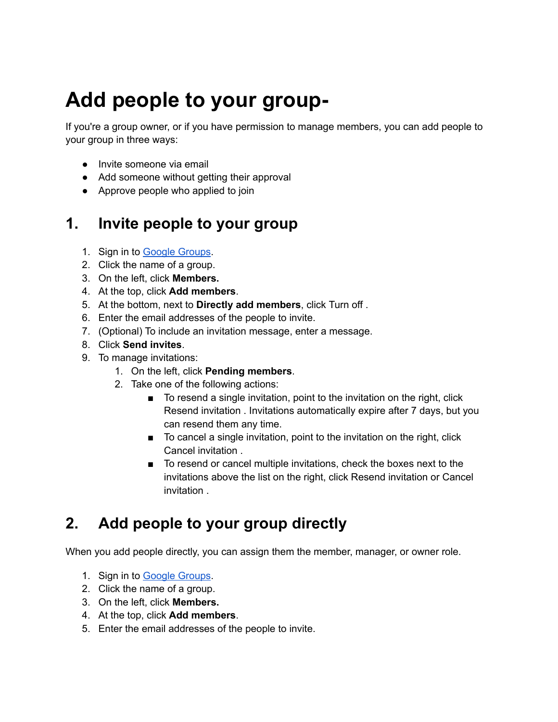# **Add people to your group-**

If you're a group owner, or if you have permission to manage members, you can add people to your group in three ways:

- Invite someone via email
- Add someone without getting their approval
- Approve people who applied to join

## **1. Invite people to your group**

- 1. Sign in to Google [Groups](https://groups.google.com/).
- 2. Click the name of a group.
- 3. On the left, click **Members.**
- 4. At the top, click **Add members**.
- 5. At the bottom, next to **Directly add members**, click Turn off .
- 6. Enter the email addresses of the people to invite.
- 7. (Optional) To include an invitation message, enter a message.
- 8. Click **Send invites**.
- 9. To manage invitations:
	- 1. On the left, click **Pending members**.
	- 2. Take one of the following actions:
		- To resend a single invitation, point to the invitation on the right, click Resend invitation . Invitations automatically expire after 7 days, but you can resend them any time.
		- To cancel a single invitation, point to the invitation on the right, click Cancel invitation .
		- To resend or cancel multiple invitations, check the boxes next to the invitations above the list on the right, click Resend invitation or Cancel invitation .

# **2. Add people to your group directly**

When you add people directly, you can assign them the member, manager, or owner role.

- 1. Sign in to Google [Groups](https://groups.google.com/).
- 2. Click the name of a group.
- 3. On the left, click **Members.**
- 4. At the top, click **Add members**.
- 5. Enter the email addresses of the people to invite.